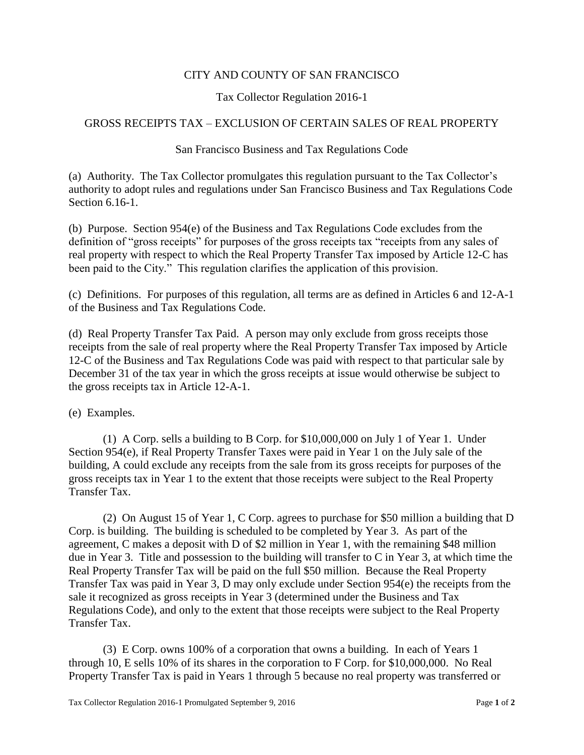## CITY AND COUNTY OF SAN FRANCISCO

## Tax Collector Regulation 2016-1

## GROSS RECEIPTS TAX – EXCLUSION OF CERTAIN SALES OF REAL PROPERTY

## San Francisco Business and Tax Regulations Code

(a) Authority. The Tax Collector promulgates this regulation pursuant to the Tax Collector's authority to adopt rules and regulations under San Francisco Business and Tax Regulations Code Section 6.16-1.

(b) Purpose. Section 954(e) of the Business and Tax Regulations Code excludes from the definition of "gross receipts" for purposes of the gross receipts tax "receipts from any sales of real property with respect to which the Real Property Transfer Tax imposed by Article 12-C has been paid to the City." This regulation clarifies the application of this provision.

(c) Definitions. For purposes of this regulation, all terms are as defined in Articles 6 and 12-A-1 of the Business and Tax Regulations Code.

(d) Real Property Transfer Tax Paid. A person may only exclude from gross receipts those receipts from the sale of real property where the Real Property Transfer Tax imposed by Article 12-C of the Business and Tax Regulations Code was paid with respect to that particular sale by December 31 of the tax year in which the gross receipts at issue would otherwise be subject to the gross receipts tax in Article 12-A-1.

(e) Examples.

(1) A Corp. sells a building to B Corp. for \$10,000,000 on July 1 of Year 1. Under Section 954(e), if Real Property Transfer Taxes were paid in Year 1 on the July sale of the building, A could exclude any receipts from the sale from its gross receipts for purposes of the gross receipts tax in Year 1 to the extent that those receipts were subject to the Real Property Transfer Tax.

(2) On August 15 of Year 1, C Corp. agrees to purchase for \$50 million a building that D Corp. is building. The building is scheduled to be completed by Year 3. As part of the agreement, C makes a deposit with D of \$2 million in Year 1, with the remaining \$48 million due in Year 3. Title and possession to the building will transfer to C in Year 3, at which time the Real Property Transfer Tax will be paid on the full \$50 million. Because the Real Property Transfer Tax was paid in Year 3, D may only exclude under Section 954(e) the receipts from the sale it recognized as gross receipts in Year 3 (determined under the Business and Tax Regulations Code), and only to the extent that those receipts were subject to the Real Property Transfer Tax.

(3) E Corp. owns 100% of a corporation that owns a building. In each of Years 1 through 10, E sells 10% of its shares in the corporation to F Corp. for \$10,000,000. No Real Property Transfer Tax is paid in Years 1 through 5 because no real property was transferred or